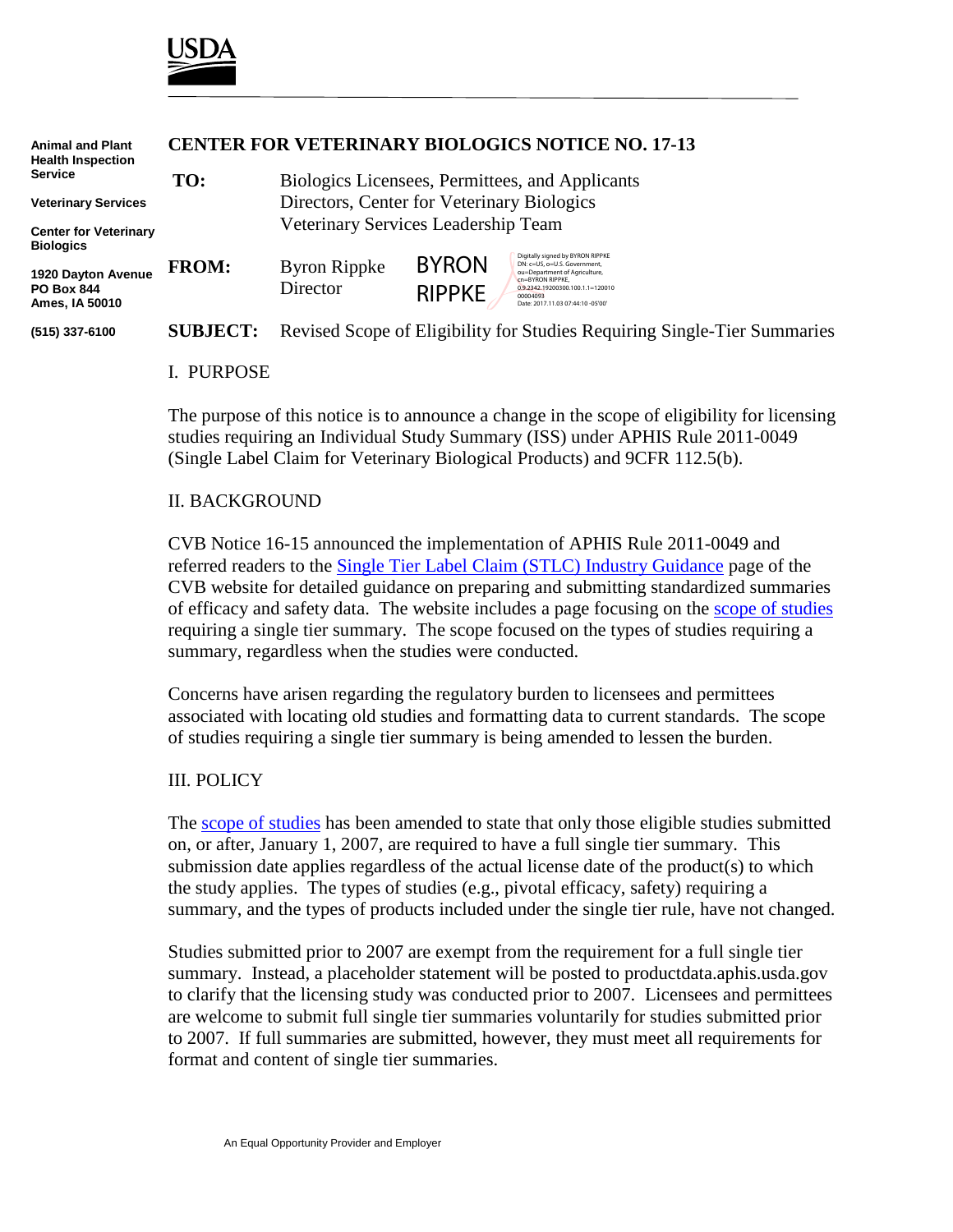

| <b>Animal and Plant</b><br><b>Health Inspection</b>       | <b>CENTER FOR VETERINARY BIOLOGICS NOTICE NO. 17-13</b> |                                                 |                               |                                                                                                                                                                                                            |
|-----------------------------------------------------------|---------------------------------------------------------|-------------------------------------------------|-------------------------------|------------------------------------------------------------------------------------------------------------------------------------------------------------------------------------------------------------|
| <b>Service</b>                                            | TO:                                                     | Biologics Licensees, Permittees, and Applicants |                               |                                                                                                                                                                                                            |
| <b>Veterinary Services</b>                                |                                                         | Directors, Center for Veterinary Biologics      |                               |                                                                                                                                                                                                            |
| <b>Center for Veterinary</b><br><b>Biologics</b>          |                                                         | Veterinary Services Leadership Team             |                               |                                                                                                                                                                                                            |
| 1920 Dayton Avenue<br><b>PO Box 844</b><br>Ames, IA 50010 | <b>FROM:</b>                                            | <b>Byron Rippke</b><br>Director                 | <b>BYRON</b><br><b>RIPPKE</b> | Digitally signed by BYRON RIPPKE<br>DN: c=US, o=U.S. Government.<br>ou=Department of Agriculture,<br>cn=BYRON RIPPKE.<br>0.9.2342.19200300.100.1.1=120010<br>00004093<br>Date: 2017.11.03 07:44:10 -05'00' |
| (515) 337-6100                                            | <b>SUBJECT:</b>                                         |                                                 |                               | Revised Scope of Eligibility for Studies Requiring Single-Tier Summaries                                                                                                                                   |

### I. PURPOSE

The purpose of this notice is to announce a change in the scope of eligibility for licensing studies requiring an Individual Study Summary (ISS) under APHIS Rule 2011-0049 (Single Label Claim for Veterinary Biological Products) and 9CFR 112.5(b).

#### II. BACKGROUND

CVB Notice 16-15 announced the implementation of APHIS Rule 2011-0049 and referred readers to the [Single Tier Label Claim \(STLC\) Industry Guidance](https://www.aphis.usda.gov/aphis/ourfocus/animalhealth/veterinary-biologics/ct_vb_stlc_industry_guidance) page of the CVB website for detailed guidance on preparing and submitting standardized summaries of efficacy and safety data. The website includes a page focusing on the [scope of studies](https://www.aphis.usda.gov/aphis/ourfocus/animalhealth/veterinary-biologics/ct_vb_stlc_scope) requiring a single tier summary. The scope focused on the types of studies requiring a summary, regardless when the studies were conducted.

Concerns have arisen regarding the regulatory burden to licensees and permittees associated with locating old studies and formatting data to current standards. The scope of studies requiring a single tier summary is being amended to lessen the burden.

#### III. POLICY

The [scope of studies](https://www.aphis.usda.gov/aphis/ourfocus/animalhealth/veterinary-biologics/ct_vb_stlc_scope) has been amended to state that only those eligible studies submitted on, or after, January 1, 2007, are required to have a full single tier summary. This submission date applies regardless of the actual license date of the product(s) to which the study applies. The types of studies (e.g., pivotal efficacy, safety) requiring a summary, and the types of products included under the single tier rule, have not changed.

Studies submitted prior to 2007 are exempt from the requirement for a full single tier summary. Instead, a placeholder statement will be posted to productdata.aphis.usda.gov to clarify that the licensing study was conducted prior to 2007. Licensees and permittees are welcome to submit full single tier summaries voluntarily for studies submitted prior to 2007. If full summaries are submitted, however, they must meet all requirements for format and content of single tier summaries.